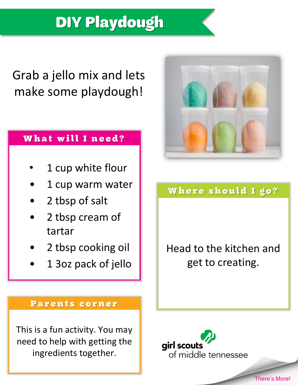# **DIY Playdough**

## Grab a jello mix and lets make some playdough!

### What will I need?

- 1 cup white flour
- 1 cup warm water
- 2 tbsp of salt
- 2 tbsp cream of tartar
- 2 tbsp cooking oil
- 1 3oz pack of jello



## Where should I go?

Head to the kitchen and get to creating.

#### Parents corner

This is a fun activity. You may need to help with getting the ingredients together.

girl scouts of middle tennessee

There's More!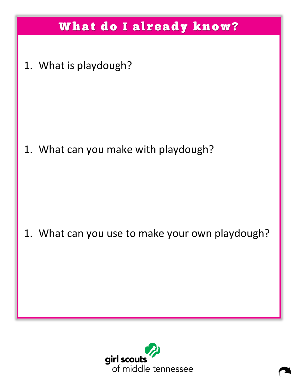## What do I already know?

1. What is playdough?

1. What can you make with playdough?

1. What can you use to make your own playdough?

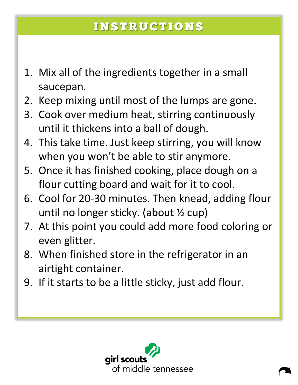## **INSTRUCTIONS**

- 1. Mix all of the ingredients together in a small saucepan.
- 2. Keep mixing until most of the lumps are gone.
- 3. Cook over medium heat, stirring continuously until it thickens into a ball of dough.
- 4. This take time. Just keep stirring, you will know when you won't be able to stir anymore.
- 5. Once it has finished cooking, place dough on a flour cutting board and wait for it to cool.
- 6. Cool for 20-30 minutes. Then knead, adding flour until no longer sticky. (about ½ cup)
- 7. At this point you could add more food coloring or even glitter.
- 8. When finished store in the refrigerator in an airtight container.
- 9. If it starts to be a little sticky, just add flour.

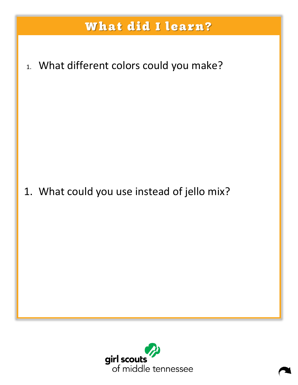